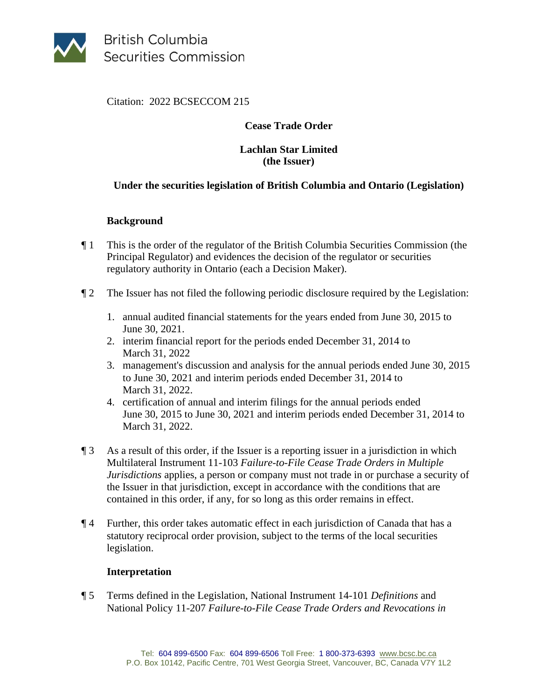

**British Columbia Securities Commission** 

Citation: 2022 BCSECCOM 215

# **Cease Trade Order**

### **Lachlan Star Limited (the Issuer)**

# **Under the securities legislation of British Columbia and Ontario (Legislation)**

# **Background**

- ¶ 1 This is the order of the regulator of the British Columbia Securities Commission (the Principal Regulator) and evidences the decision of the regulator or securities regulatory authority in Ontario (each a Decision Maker).
- ¶ 2 The Issuer has not filed the following periodic disclosure required by the Legislation:
	- 1. annual audited financial statements for the years ended from June 30, 2015 to June 30, 2021.
	- 2. interim financial report for the periods ended December 31, 2014 to March 31, 2022
	- 3. management's discussion and analysis for the annual periods ended June 30, 2015 to June 30, 2021 and interim periods ended December 31, 2014 to March 31, 2022.
	- 4. certification of annual and interim filings for the annual periods ended June 30, 2015 to June 30, 2021 and interim periods ended December 31, 2014 to March 31, 2022.
- ¶ 3 As a result of this order, if the Issuer is a reporting issuer in a jurisdiction in which Multilateral Instrument 11-103 *Failure-to-File Cease Trade Orders in Multiple Jurisdictions* applies, a person or company must not trade in or purchase a security of the Issuer in that jurisdiction, except in accordance with the conditions that are contained in this order, if any, for so long as this order remains in effect.
- ¶ 4 Further, this order takes automatic effect in each jurisdiction of Canada that has a statutory reciprocal order provision, subject to the terms of the local securities legislation.

#### **Interpretation**

¶ 5 Terms defined in the Legislation, National Instrument 14-101 *Definitions* and National Policy 11-207 *Failure-to-File Cease Trade Orders and Revocations in*